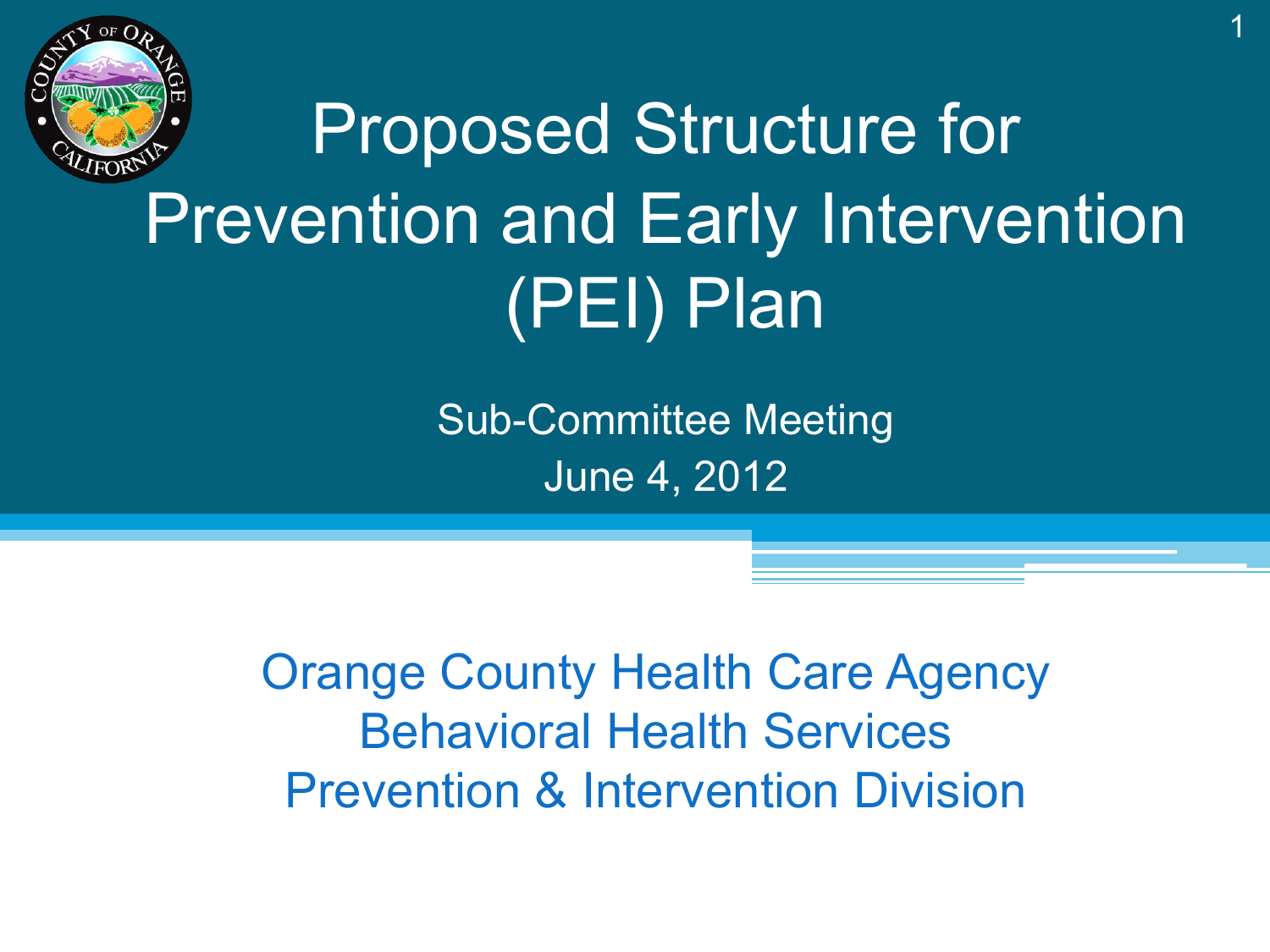

# Proposed Structure for Prevention and Early Intervention (PEI) Plan

Sub-Committee Meeting June 4, 2012

Orange County Health Care Agency Behavioral Health Services Prevention & Intervention Division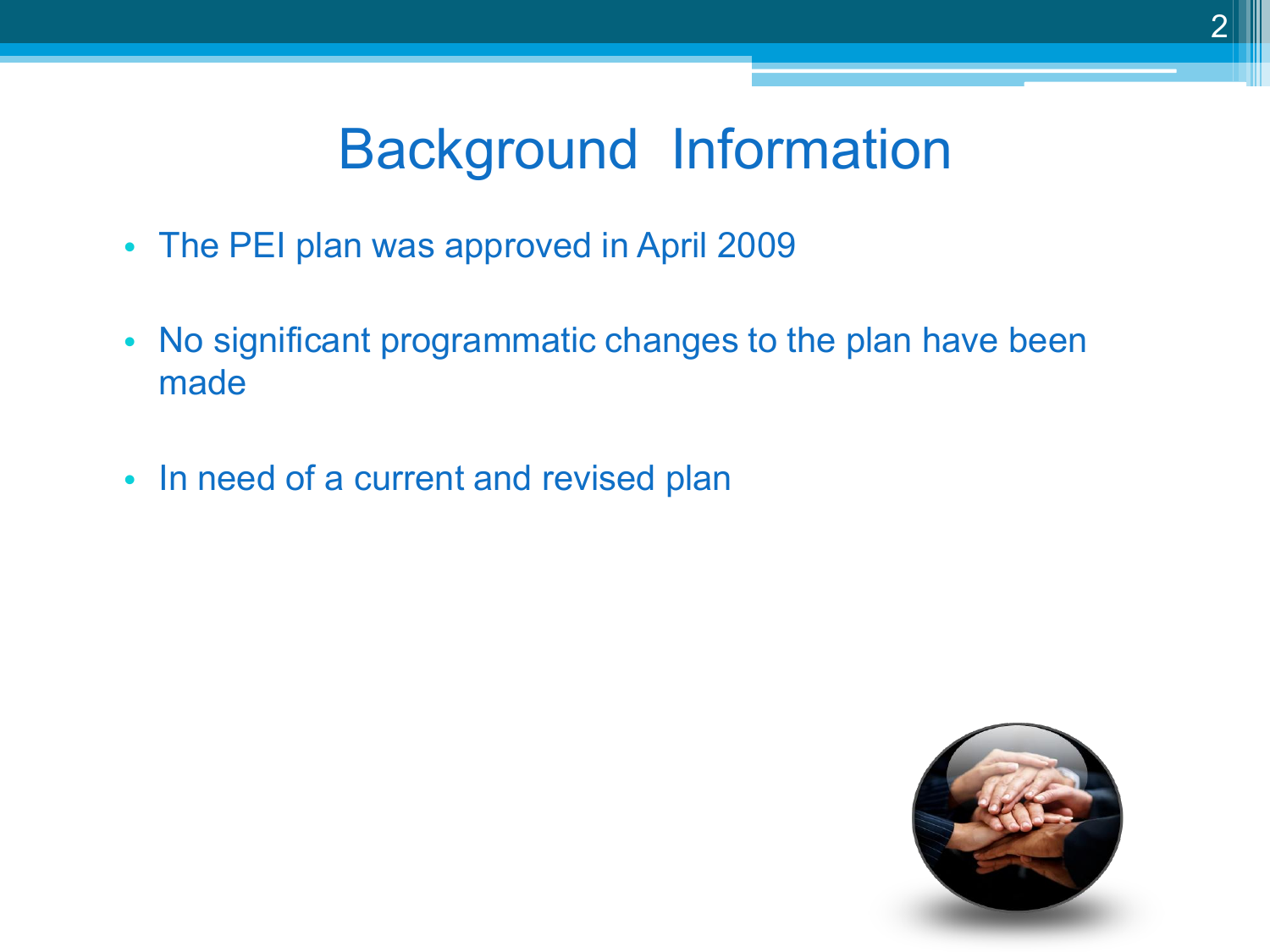## Background Information

- The PEI plan was approved in April 2009
- No significant programmatic changes to the plan have been made
- In need of a current and revised plan

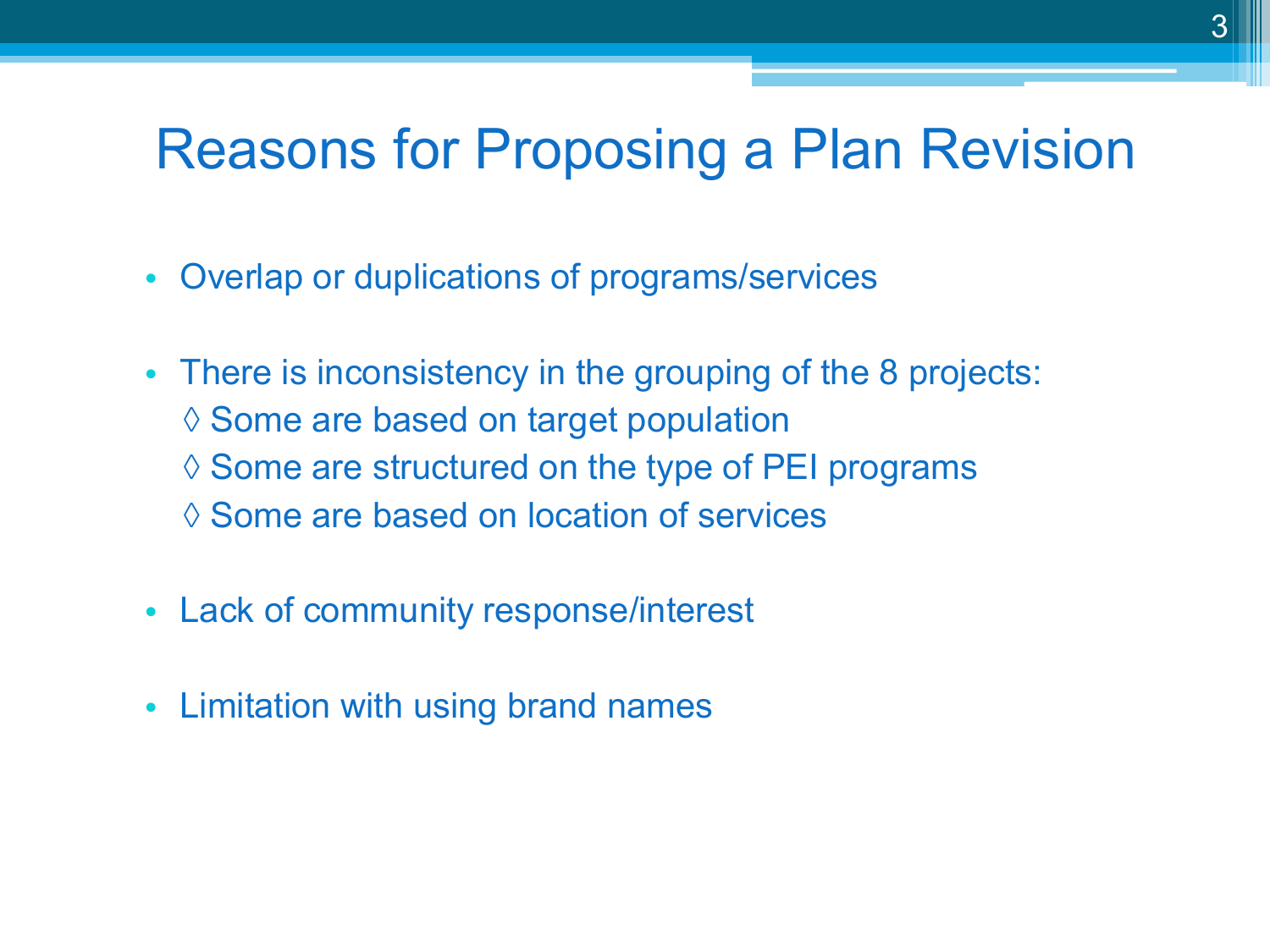## Reasons for Proposing a Plan Revision

- Overlap or duplications of programs/services
- There is inconsistency in the grouping of the 8 projects: ◊ Some are based on target population ◊ Some are structured on the type of PEI programs ◊ Some are based on location of services
- Lack of community response/interest
- Limitation with using brand names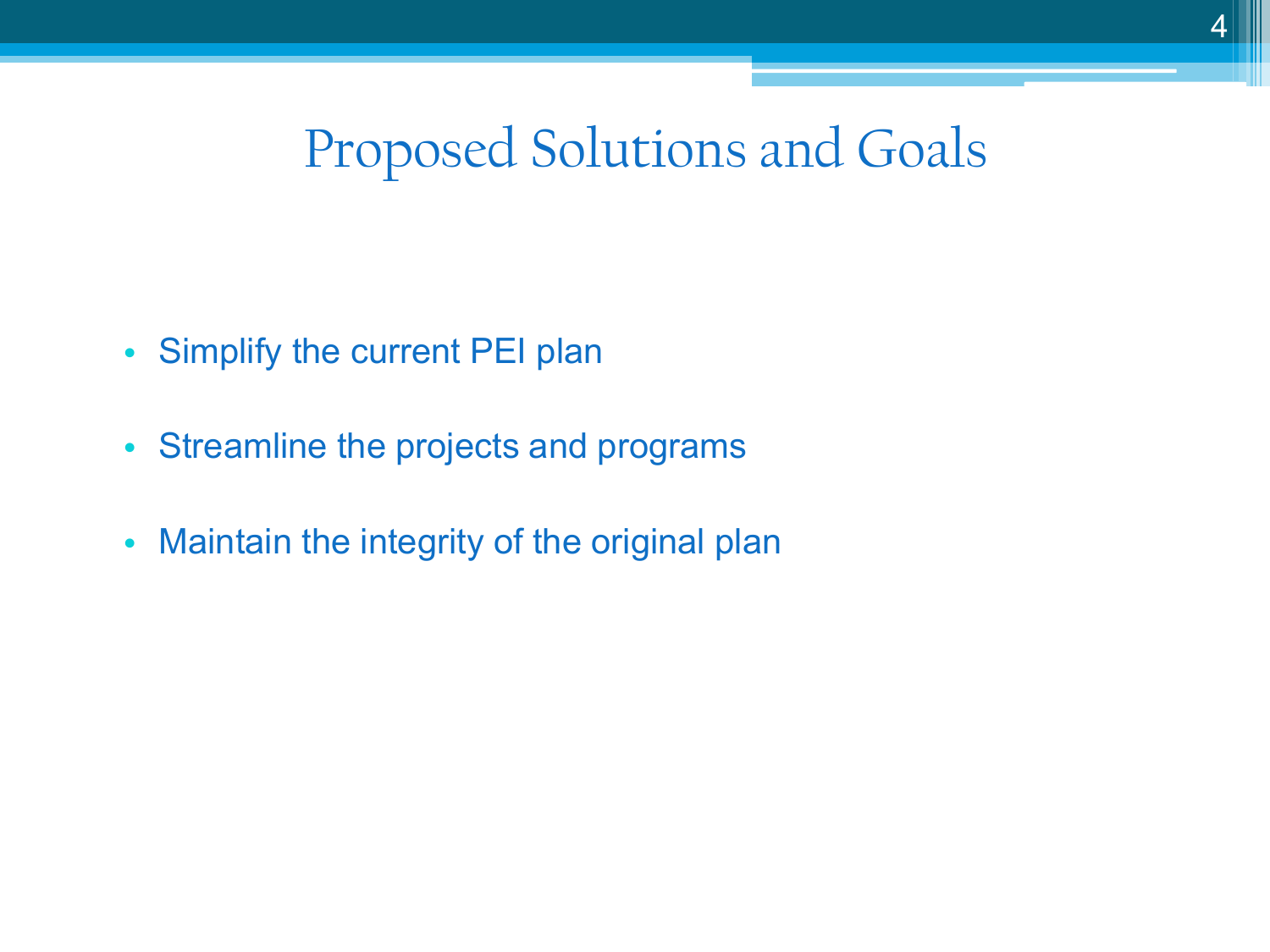#### Proposed Solutions and Goals

- Simplify the current PEI plan
- Streamline the projects and programs
- Maintain the integrity of the original plan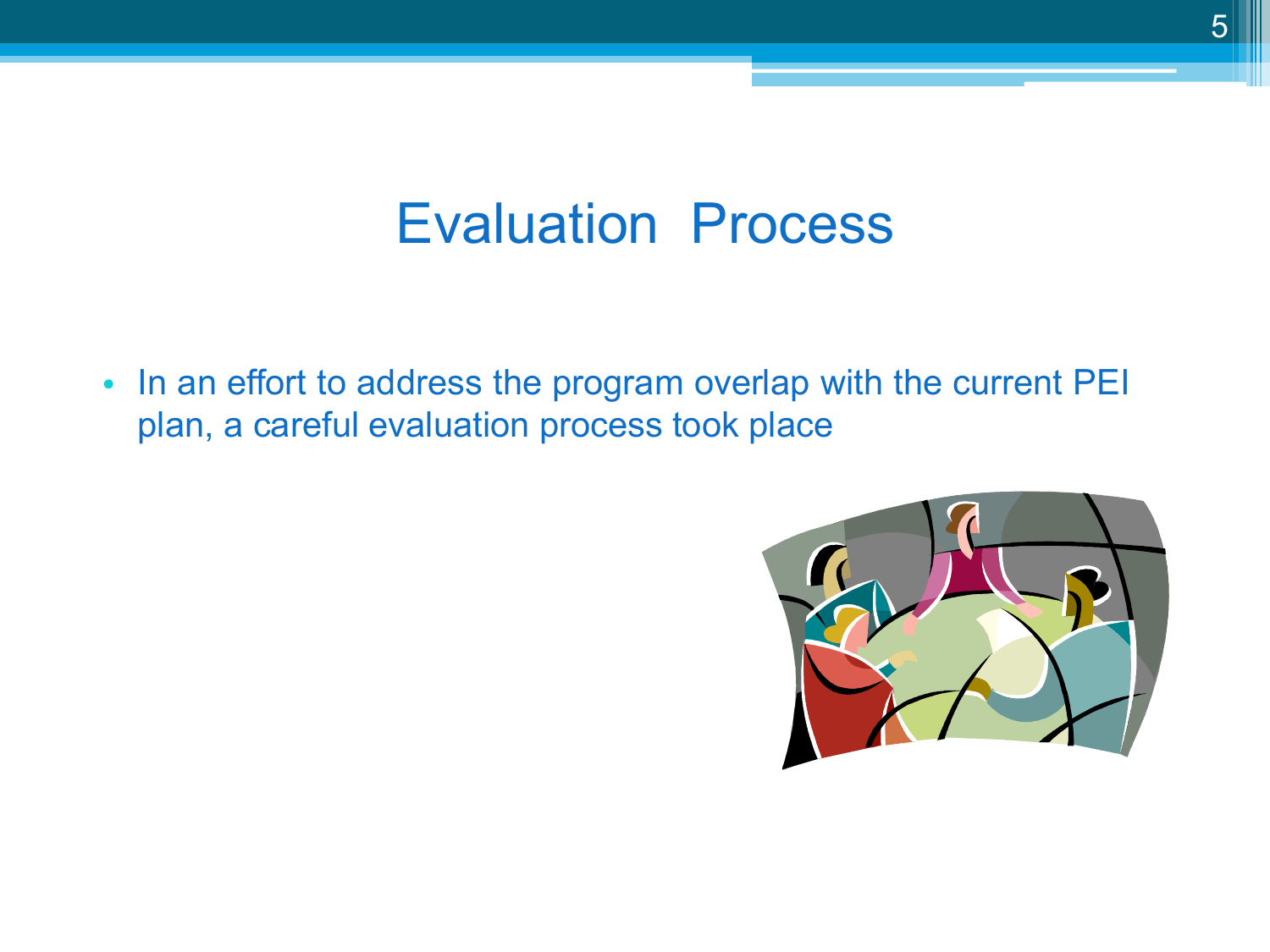## Evaluation Process

• In an effort to address the program overlap with the current PEI plan, a careful evaluation process took place

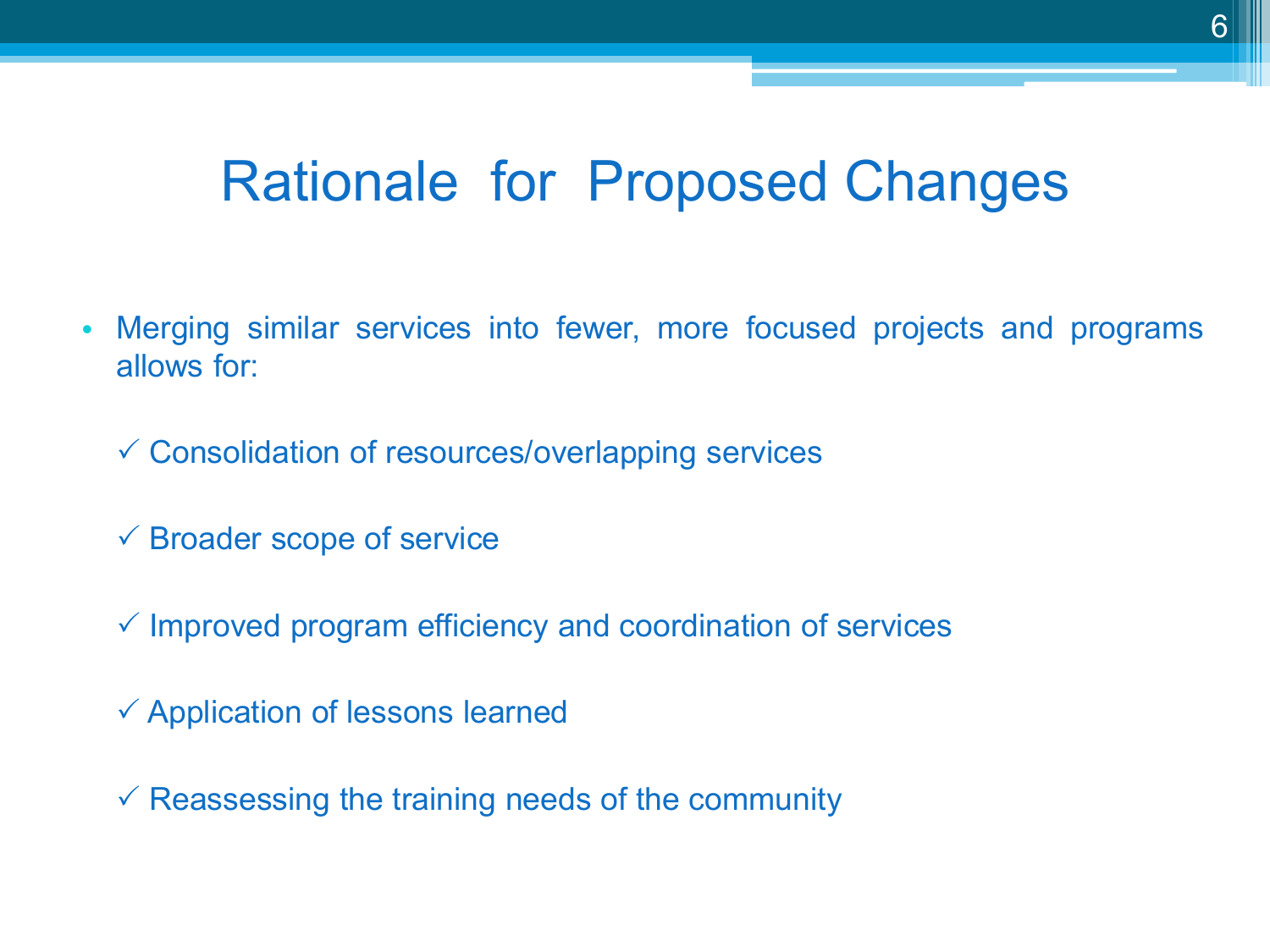## Rationale for Proposed Changes

- Merging similar services into fewer, more focused projects and programs allows for:
	- $\checkmark$  Consolidation of resources/overlapping services
	- $\checkmark$  Broader scope of service
	- $\checkmark$  Improved program efficiency and coordination of services
	- $\checkmark$  Application of lessons learned
	- $\checkmark$  Reassessing the training needs of the community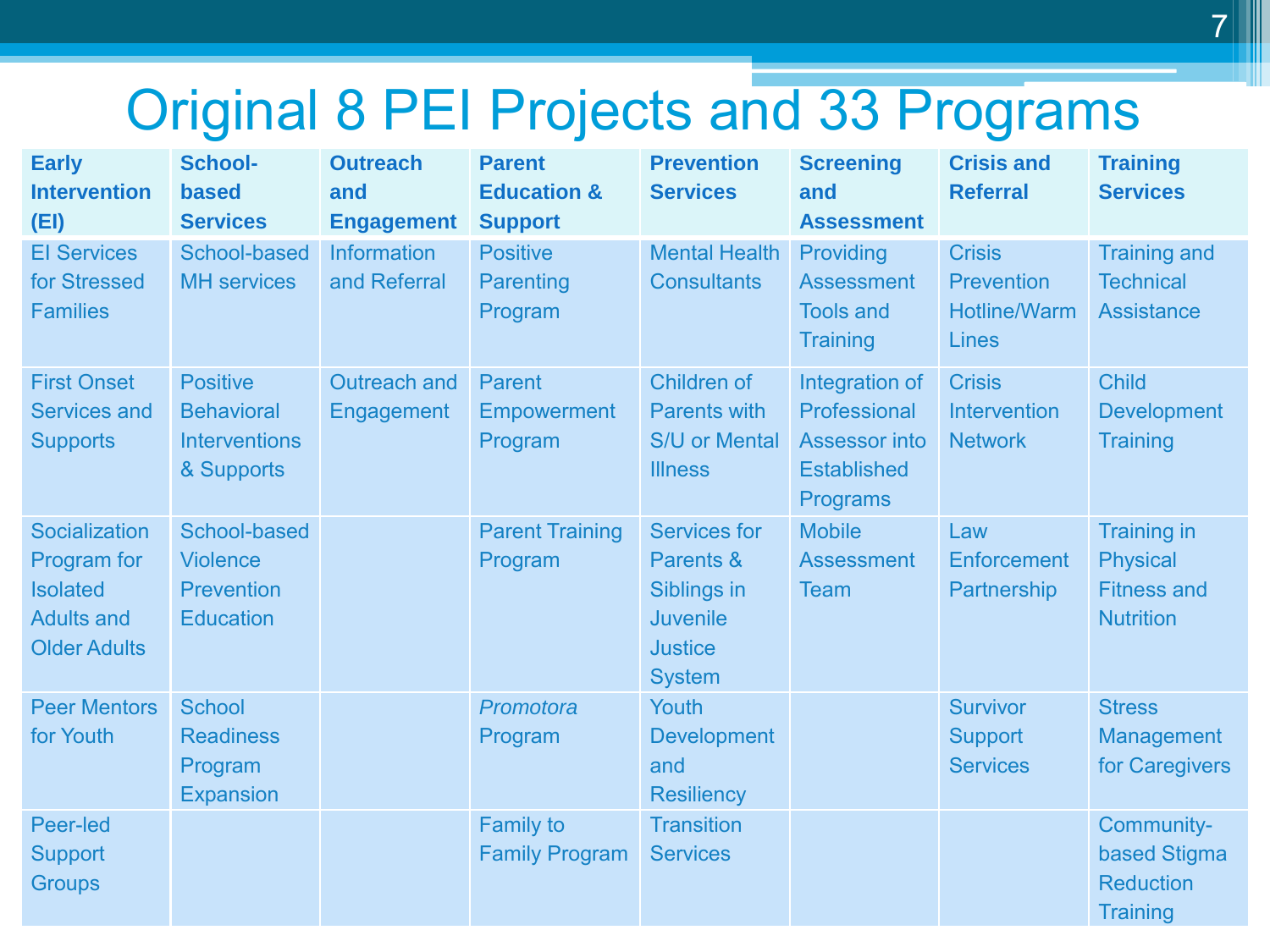## Original 8 PEI Projects and 33 Programs

| <b>Early</b><br><b>Intervention</b><br>(EI)                                                 | <b>School-</b><br>based<br><b>Services</b>                                 | <b>Outreach</b><br>and<br><b>Engagement</b> | <b>Parent</b><br><b>Education &amp;</b><br><b>Support</b> | <b>Prevention</b><br><b>Services</b>                                                                  | <b>Screening</b><br>and<br><b>Assessment</b>                                                    | <b>Crisis and</b><br><b>Referral</b>                                      | <b>Training</b><br><b>Services</b>                                              |
|---------------------------------------------------------------------------------------------|----------------------------------------------------------------------------|---------------------------------------------|-----------------------------------------------------------|-------------------------------------------------------------------------------------------------------|-------------------------------------------------------------------------------------------------|---------------------------------------------------------------------------|---------------------------------------------------------------------------------|
| <b>El Services</b><br>for Stressed<br><b>Families</b>                                       | School-based<br><b>MH</b> services                                         | <b>Information</b><br>and Referral          | <b>Positive</b><br>Parenting<br>Program                   | <b>Mental Health</b><br><b>Consultants</b>                                                            | Providing<br><b>Assessment</b><br><b>Tools and</b><br><b>Training</b>                           | <b>Crisis</b><br><b>Prevention</b><br><b>Hotline/Warm</b><br><b>Lines</b> | <b>Training and</b><br><b>Technical</b><br><b>Assistance</b>                    |
| <b>First Onset</b><br><b>Services and</b><br><b>Supports</b>                                | <b>Positive</b><br><b>Behavioral</b><br><b>Interventions</b><br>& Supports | Outreach and<br>Engagement                  | Parent<br>Empowerment<br>Program                          | Children of<br><b>Parents with</b><br>S/U or Mental<br><b>Illness</b>                                 | Integration of<br>Professional<br><b>Assessor into</b><br><b>Established</b><br><b>Programs</b> | <b>Crisis</b><br><b>Intervention</b><br><b>Network</b>                    | <b>Child</b><br><b>Development</b><br><b>Training</b>                           |
| Socialization<br>Program for<br><b>Isolated</b><br><b>Adults and</b><br><b>Older Adults</b> | School-based<br><b>Violence</b><br><b>Prevention</b><br><b>Education</b>   |                                             | <b>Parent Training</b><br>Program                         | <b>Services for</b><br>Parents &<br>Siblings in<br><b>Juvenile</b><br><b>Justice</b><br><b>System</b> | <b>Mobile</b><br><b>Assessment</b><br><b>Team</b>                                               | Law<br><b>Enforcement</b><br><b>Partnership</b>                           | <b>Training in</b><br><b>Physical</b><br><b>Fitness and</b><br><b>Nutrition</b> |
| <b>Peer Mentors</b><br>for Youth                                                            | <b>School</b><br><b>Readiness</b><br>Program<br><b>Expansion</b>           |                                             | Promotora<br>Program                                      | Youth<br><b>Development</b><br>and<br><b>Resiliency</b>                                               |                                                                                                 | <b>Survivor</b><br><b>Support</b><br><b>Services</b>                      | <b>Stress</b><br><b>Management</b><br>for Caregivers                            |
| Peer-led<br><b>Support</b><br><b>Groups</b>                                                 |                                                                            |                                             | <b>Family to</b><br><b>Family Program</b>                 | <b>Transition</b><br><b>Services</b>                                                                  |                                                                                                 |                                                                           | Community-<br>based Stigma<br><b>Reduction</b><br><b>Training</b>               |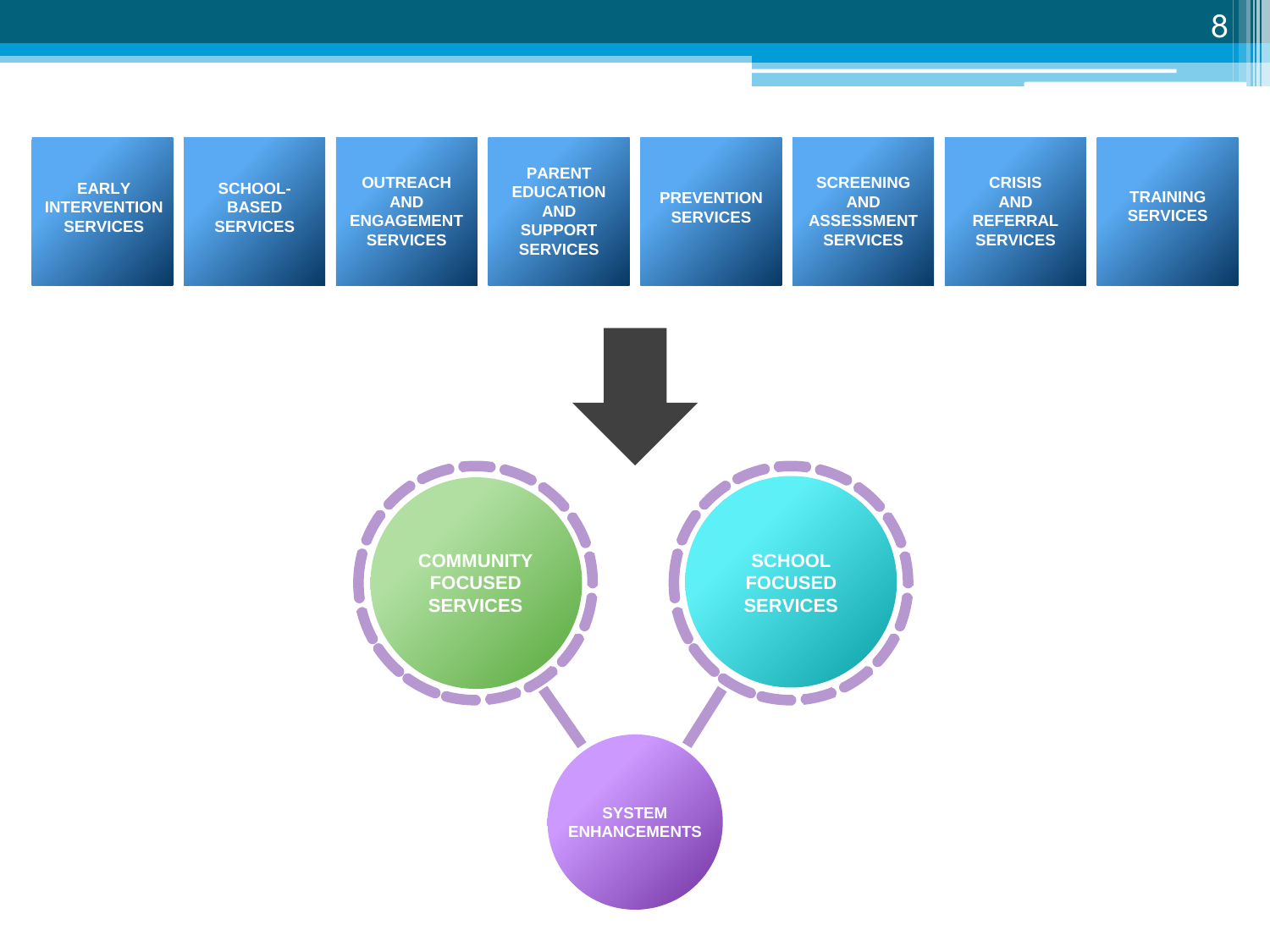

8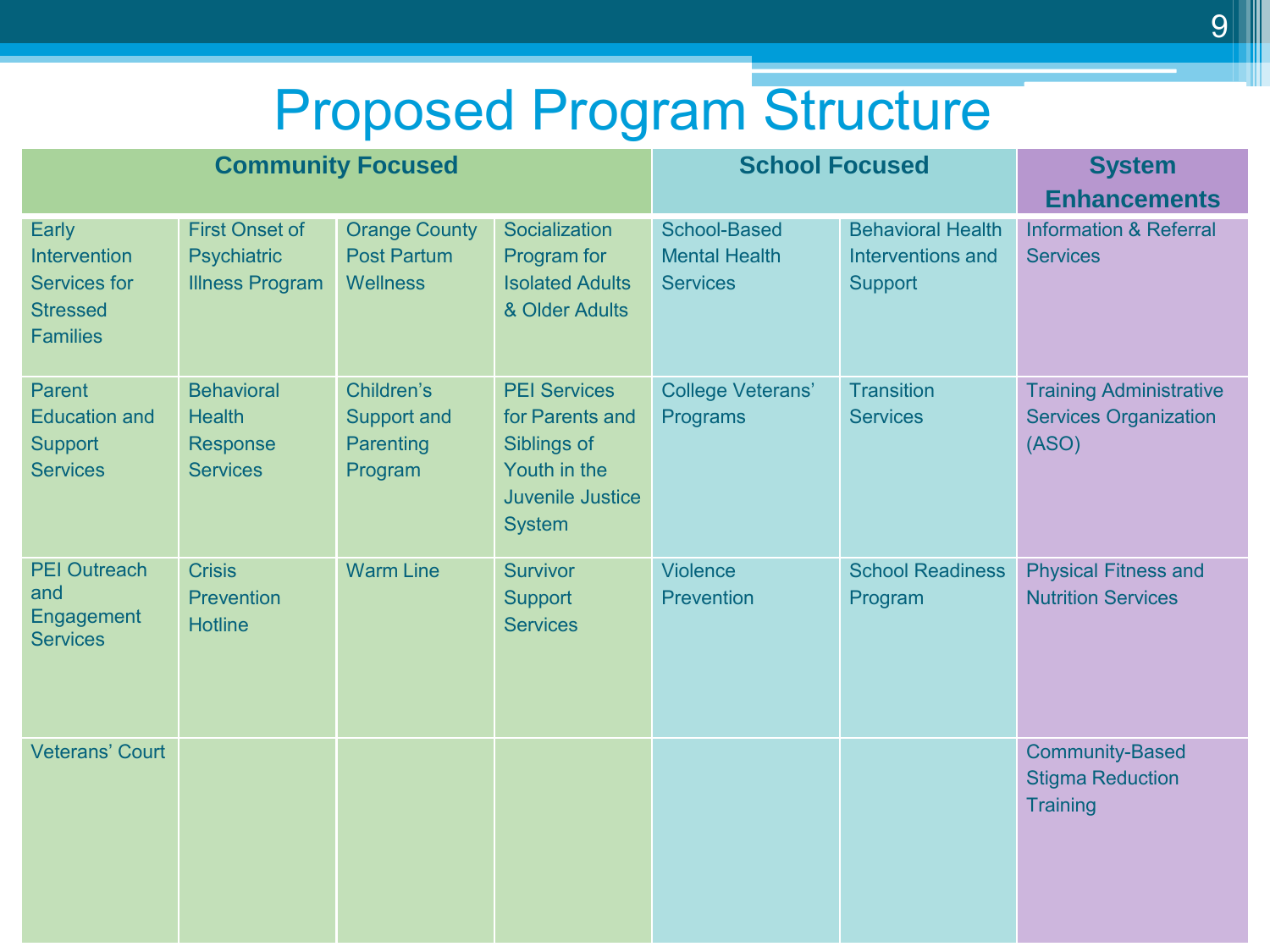## Proposed Program Structure

| <b>Community Focused</b>                                                           |                                                                       |                                                               |                                                                                                                   | <b>School Focused</b>                                          | <b>System</b><br><b>Enhancements</b>                            |                                                                         |
|------------------------------------------------------------------------------------|-----------------------------------------------------------------------|---------------------------------------------------------------|-------------------------------------------------------------------------------------------------------------------|----------------------------------------------------------------|-----------------------------------------------------------------|-------------------------------------------------------------------------|
| Early<br>Intervention<br><b>Services for</b><br><b>Stressed</b><br><b>Families</b> | <b>First Onset of</b><br><b>Psychiatric</b><br><b>Illness Program</b> | <b>Orange County</b><br><b>Post Partum</b><br><b>Wellness</b> | Socialization<br>Program for<br><b>Isolated Adults</b><br>& Older Adults                                          | <b>School-Based</b><br><b>Mental Health</b><br><b>Services</b> | <b>Behavioral Health</b><br>Interventions and<br><b>Support</b> | <b>Information &amp; Referral</b><br><b>Services</b>                    |
| Parent<br><b>Education and</b><br>Support<br><b>Services</b>                       | <b>Behavioral</b><br><b>Health</b><br>Response<br><b>Services</b>     | Children's<br>Support and<br>Parenting<br>Program             | <b>PEI Services</b><br>for Parents and<br>Siblings of<br>Youth in the<br><b>Juvenile Justice</b><br><b>System</b> | <b>College Veterans'</b><br>Programs                           | <b>Transition</b><br><b>Services</b>                            | <b>Training Administrative</b><br><b>Services Organization</b><br>(ASO) |
| <b>PEI Outreach</b><br>and<br>Engagement<br><b>Services</b>                        | <b>Crisis</b><br><b>Prevention</b><br><b>Hotline</b>                  | <b>Warm Line</b>                                              | <b>Survivor</b><br>Support<br><b>Services</b>                                                                     | Violence<br><b>Prevention</b>                                  | <b>School Readiness</b><br>Program                              | <b>Physical Fitness and</b><br><b>Nutrition Services</b>                |
| <b>Veterans' Court</b>                                                             |                                                                       |                                                               |                                                                                                                   |                                                                |                                                                 | <b>Community-Based</b><br><b>Stigma Reduction</b><br>Training           |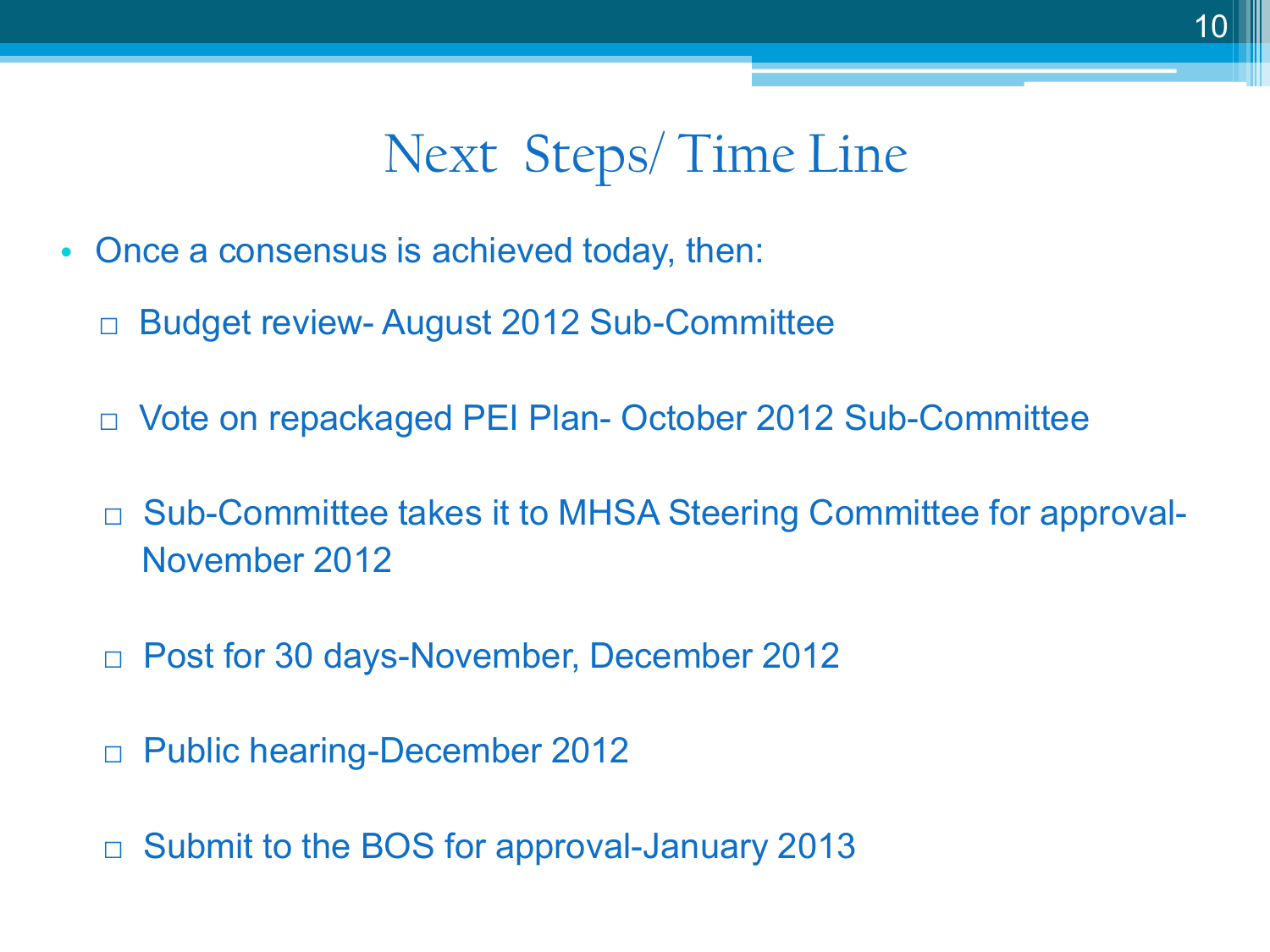#### Next Steps/ Time Line

- Once a consensus is achieved today, then:
	- Budget review- August 2012 Sub-Committee
	- □ Vote on repackaged PEI Plan- October 2012 Sub-Committee
	- □ Sub-Committee takes it to MHSA Steering Committee for approval-November 2012
	- □ Post for 30 days-November, December 2012
	- □ Public hearing-December 2012
	- □ Submit to the BOS for approval-January 2013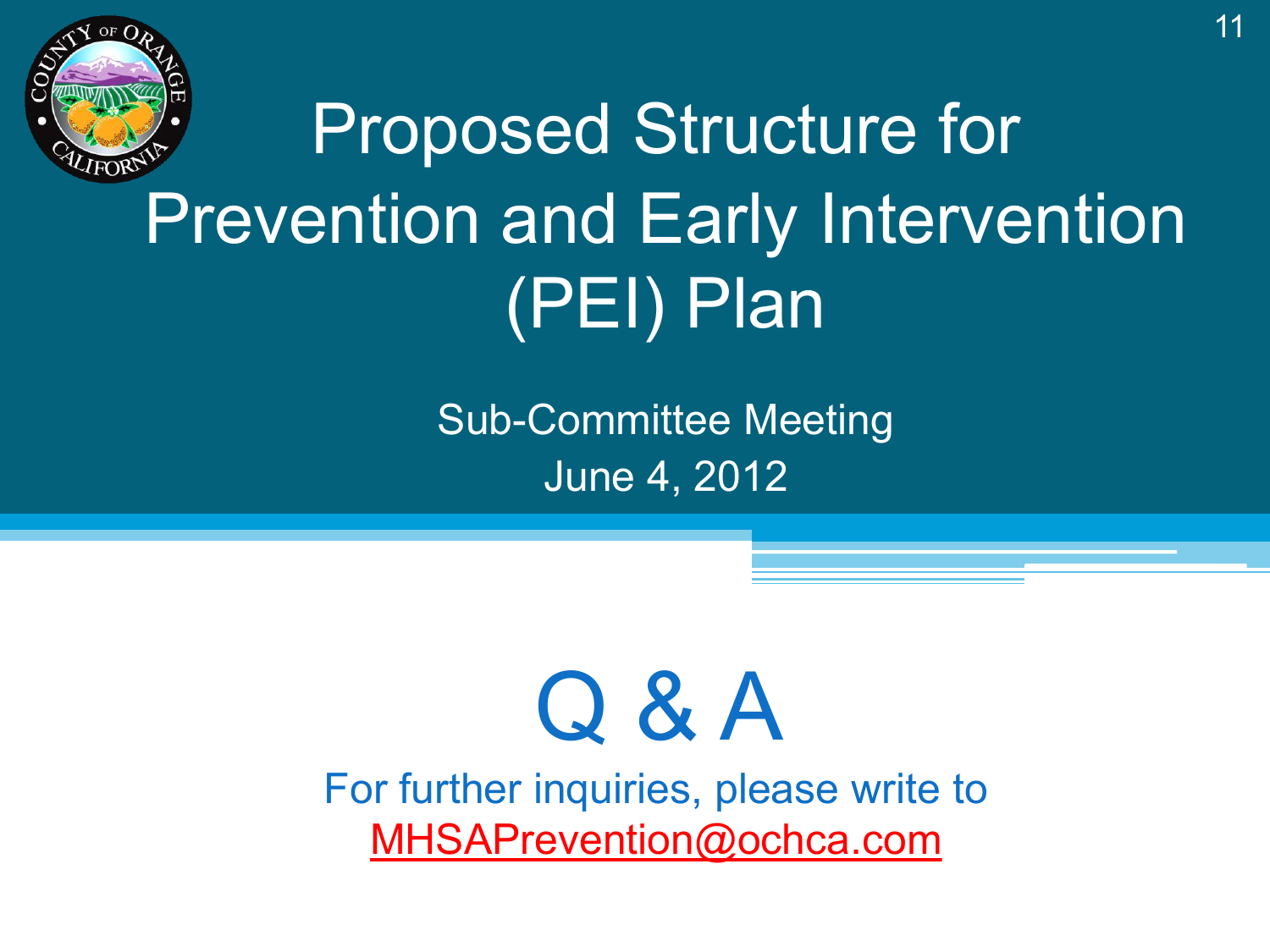

# Proposed Structure for Prevention and Early Intervention (PEI) Plan

Sub-Committee Meeting June 4, 2012

# Q & A

For further inquiries, please write to [MHSAPrevention@ochca.com](mailto:MHSAPrevention@ochca.com)